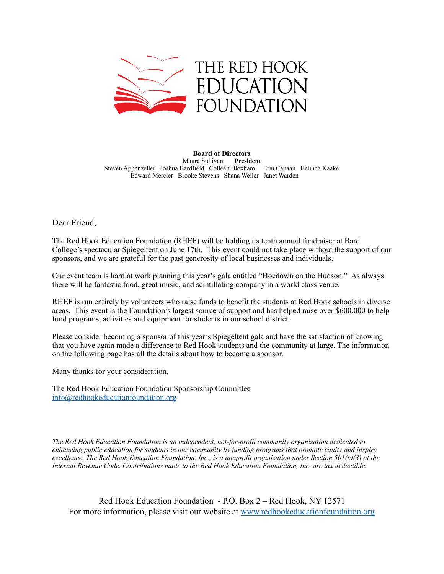

**Board of Directors**  Maura Sullivan **President** Steven Appenzeller Joshua Bardfield Colleen Bloxham Erin Canaan Belinda Kaake Edward Mercier Brooke Stevens Shana Weiler Janet Warden

Dear Friend,

The Red Hook Education Foundation (RHEF) will be holding its tenth annual fundraiser at Bard College's spectacular Spiegeltent on June 17th. This event could not take place without the support of our sponsors, and we are grateful for the past generosity of local businesses and individuals.

Our event team is hard at work planning this year's gala entitled "Hoedown on the Hudson." As always there will be fantastic food, great music, and scintillating company in a world class venue.

RHEF is run entirely by volunteers who raise funds to benefit the students at Red Hook schools in diverse areas. This event is the Foundation's largest source of support and has helped raise over \$600,000 to help fund programs, activities and equipment for students in our school district.

Please consider becoming a sponsor of this year's Spiegeltent gala and have the satisfaction of knowing that you have again made a difference to Red Hook students and the community at large. The information on the following page has all the details about how to become a sponsor.

Many thanks for your consideration,

The Red Hook Education Foundation Sponsorship Committee [info@redhookeducationfoundation.org](mailto:info@redhookeducationfoundation.org)

*The Red Hook Education Foundation is an independent, not-for-profit community organization dedicated to enhancing public education for students in our community by funding programs that promote equity and inspire excellence. The Red Hook Education Foundation, Inc., is a nonprofit organization under Section 501(c)(3) of the Internal Revenue Code. Contributions made to the Red Hook Education Foundation, Inc. are tax deductible.* 

Red Hook Education Foundation - P.O. Box 2 – Red Hook, NY 12571 For more information, please visit our website at [www.redhookeducationfoundation.org](http://www.redhookeducationfoundation.org)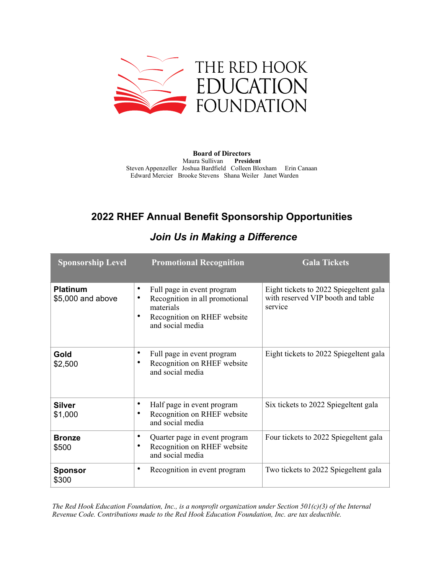

**Board of Directors**  Maura Sullivan **President** Steven Appenzeller Joshua Bardfield Colleen Bloxham Erin Canaan Edward Mercier Brooke Stevens Shana Weiler Janet Warden

## **2022 RHEF Annual Benefit Sponsorship Opportunities**

| <b>Sponsorship Level</b>             | <b>Promotional Recognition</b>                                                                                                         | <b>Gala Tickets</b>                                                                    |
|--------------------------------------|----------------------------------------------------------------------------------------------------------------------------------------|----------------------------------------------------------------------------------------|
| <b>Platinum</b><br>\$5,000 and above | Full page in event program<br>٠<br>Recognition in all promotional<br>٠<br>materials<br>Recognition on RHEF website<br>and social media | Eight tickets to 2022 Spiegeltent gala<br>with reserved VIP booth and table<br>service |
| Gold<br>\$2,500                      | Full page in event program<br>٠<br>Recognition on RHEF website<br>٠<br>and social media                                                | Eight tickets to 2022 Spiegeltent gala                                                 |
| <b>Silver</b><br>\$1,000             | Half page in event program<br>٠<br>Recognition on RHEF website<br>٠<br>and social media                                                | Six tickets to 2022 Spiegeltent gala                                                   |
| <b>Bronze</b><br>\$500               | Quarter page in event program<br>٠<br>Recognition on RHEF website<br>$\bullet$<br>and social media                                     | Four tickets to 2022 Spiegeltent gala                                                  |
| <b>Sponsor</b><br>\$300              | Recognition in event program<br>٠                                                                                                      | Two tickets to 2022 Spiegeltent gala                                                   |

## *Join Us in Making a Difference*

*The Red Hook Education Foundation, Inc., is a nonprofit organization under Section 501(c)(3) of the Internal Revenue Code. Contributions made to the Red Hook Education Foundation, Inc. are tax deductible.*